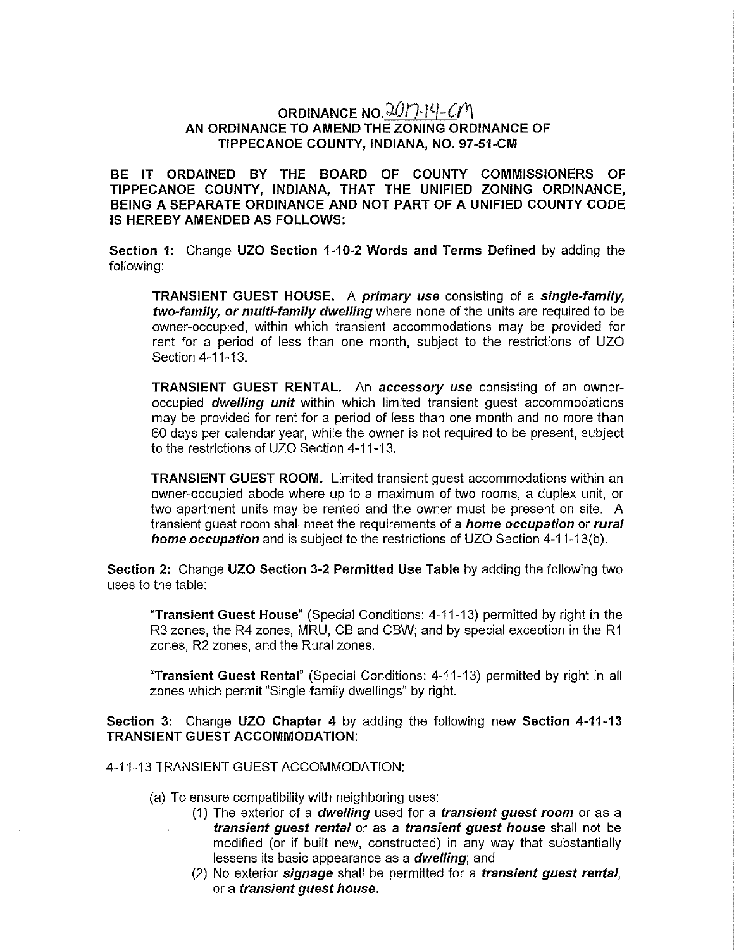### ORDINANCE NO.  $307.14$ - $\zeta\gamma$ AN ORDINANCE TO AMEND THE ZONING ORDINANCE OF TIPPECANOE COUNTY, INDIANA, NO. 97-51-CM

BE IT ORDAINED BY THE BOARD OF COUNTY COMMISSIONERS OF TIPPECANOE COUNTY, INDIANA, THAT THE UNIFIED ZONING ORDINANCE, BEING A SEPARATE ORDINANCE AND NOT PART OF A UNIFIED COUNTY CODE IS HEREBY AMENDED AS FOLLOWS:

Section 1: Change UZO Section 1-10-2 Words and Terms Defined by adding the following:

TRANSIENT GUEST HOUSE. A *primary use* consisting of a *single-family*, two-family, or multi-family dwelling where none of the units are required to be owner-occupied, within which transient accommodations may be provided for rent for a period of less than one month, subject to the restrictions of UZO Section 4-11-13.

TRANSIENT GUEST RENTAL. An accessory use consisting of an owneroccupied *dwelling unit* within which limited transient guest accommodations may be provided for rent for a period of less than one month and no more than 60 days per calendar year, while the owner is not required to be present, subject to the restrictions of UZO Section 4-11-13.

TRANSIENT GUEST ROOM. Limited transient guest accommodations within an owner-occupied abode where up to a maximum of two rooms, a duplex unit, or two apartment units may be rented and the owner must be present on site. A transient guest room shall meet the requirements of a *home occupation* or *rural* home occupation and is subject to the restrictions of UZO Section 4-11-13(b).

Section 2: Change UZO Section 3-2 Permitted Use Table by adding the following two uses to the table:

"Transient Guest House" (Special Conditions: 4-11-13) permitted by right in the R3 zones, the R4 zones, MRU, CB and CBW; and by special exception in the R1 zones, R2 zones, and the Rural zones.

"Transient Guest Rental" (Special Conditions: 4-11-13) permitted by right in all zones which permit "Single-family dwellings" by right.

Section 3: Change UZO Chapter 4 by adding the following new Section 4-11-13 TRANSIENT GUEST ACCOMMODATION:

#### 4-11-13 TRANSIENT GUEST ACCOMMODATION:

- (a) To ensure compatibility with neighboring uses:
	- (1) The exterior of a dwelling used for a transient guest room or as a transient guest rental or as a transient guest house shall not be modified (or if built new, constructed) in any way that substantially lessens its basic appearance as a *dwelling*; and
	- (2) No exterior signage shall be permitted for a *transient quest rental*, or a transient guest house.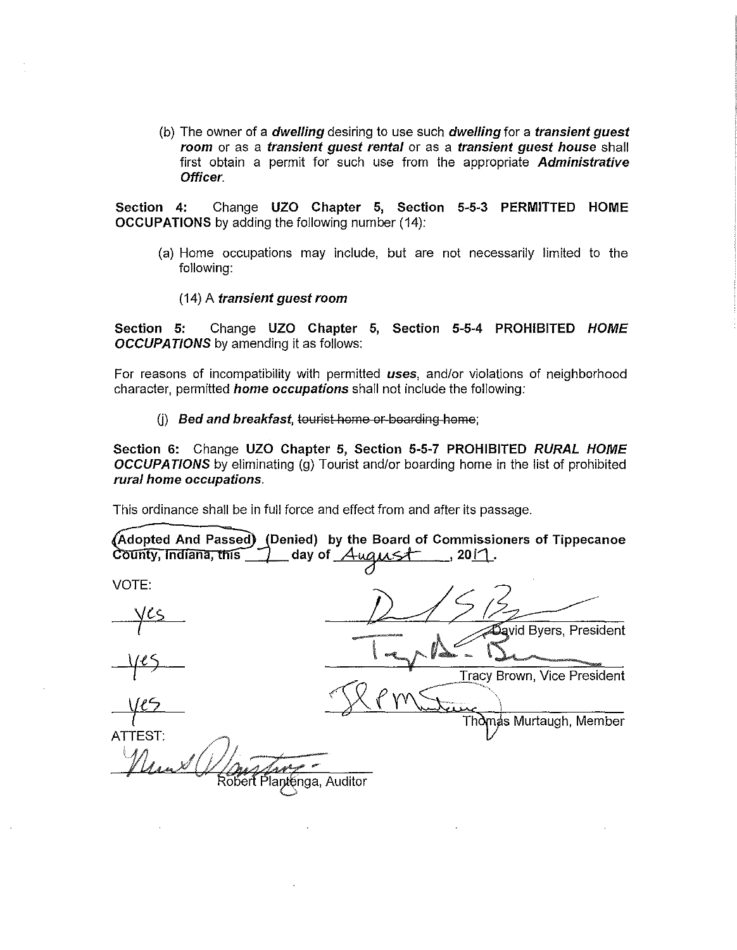(b) The owner of a dwelling desiring to use such dwelling for a transient guest room or as a transient guest rental or as a transient guest house shall first obtain a permit for such use from the appropriate Administrative Officer.

Section 4: Change UZO Chapter 5, Section 5-5-3 PERMITTED HOME OCCUPATIONS by adding the following number (14):

- (a) Home occupations may include, but are not necessarily limited to the following:
	- (14) A transient guest room

Section 5: Change UZO Chapter 5, Section 5-5-4 PROHIBITED HOME OCCUPATIONS by amending it as follows:

For reasons of incompatibility with permitted uses, and/or violations of neighborhood character, permitted *home occupations* shall not include the following:

(i) Bed and breakfast, tourist home or boarding home;

Section 6: Change UZO Chapter 5, Section 5-5-7 PROHIBITED RURAL HOME OCCUPATIONS by eliminating (g) Tourist and/or boarding home in the list of prohibited rural home occupations.

This ordinance shall be in full force and effect from and after its passage.

|                           | (Adopted And Passed) (Denied) by the Board of Commissioners of Tippecanoe |
|---------------------------|---------------------------------------------------------------------------|
| County, Indiana, this     | day of $A$ uquest , 2011.                                                 |
|                           |                                                                           |
| VOTE:                     |                                                                           |
| VCS                       |                                                                           |
|                           | ⊉avid Byers, President                                                    |
|                           |                                                                           |
|                           |                                                                           |
|                           | Tracy Brown, Vice President                                               |
|                           |                                                                           |
|                           | Thomas Murtaugh, Member                                                   |
| ATTEST.                   |                                                                           |
|                           |                                                                           |
| Robert Plantenga, Auditor |                                                                           |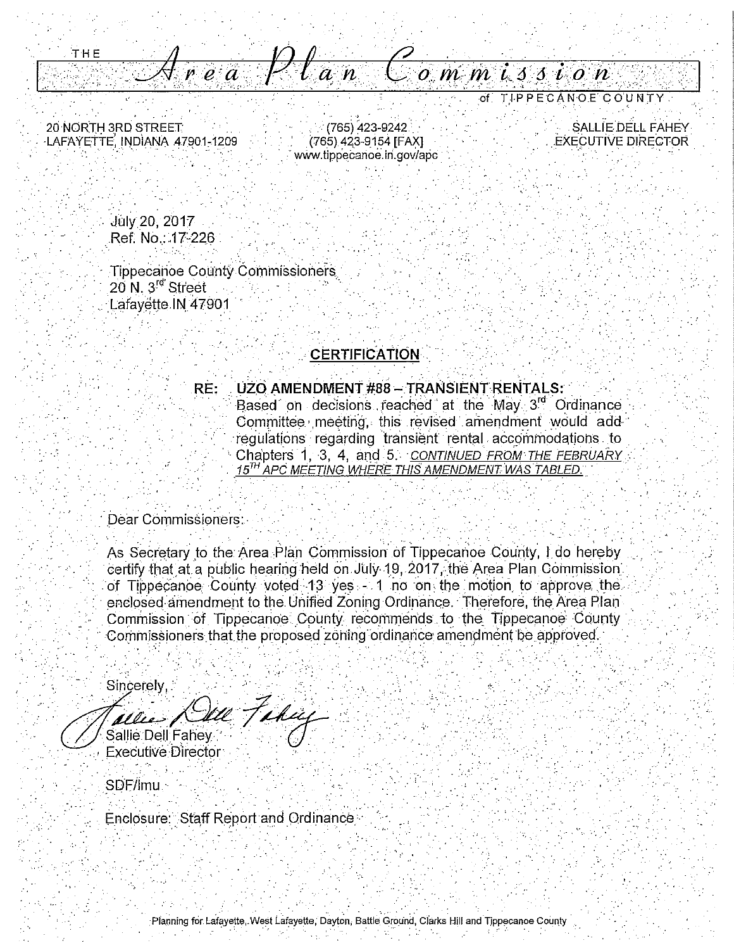THE  $o$  m m i s s i  $o$  n

20 NORTH 3RD STREET LAFAYETTE, INDIANA 47901-1209

(765) 423-9242 (765) 423-9154 [FAX] www.tippecanoe.in.gov/apc

SALLIE DELL FAHEY **EXECUTIVE DIRECTOR** 

**TIPPECANOE COUNTY** 

July 20, 2017 Ref. No.: 17-226

Tippecanoe County Commissioners  $20$  N.  $3<sup>rd</sup>$  Street Lafayette IN 47901

# **CERTIFICATION**

UZO AMENDMENT #88 - TRANSIENT RENTALS: RE. Based on decisions reached at the May 3<sup>rd</sup> Ordinance Committee meeting, this revised amendment would addregulations regarding transient rental accommodations to Chapters 1, 3, 4, and 5. CONTINUED FROM THE FEBRUARY APC MEETING WHERE THIS AMENDMENT WAS TABLED.

Dear Commissioners:

As Secretary to the Area Plan Commission of Tippecanoe County, I do hereby certify that at a public hearing held on July 19, 2017, the Area Plan Commission of Tippecanoe County voted 13 yes - 1 no on the motion to approve the enclosed amendment to the Unified Zoning Ordinance. Therefore, the Area Plan Commission of Tippecanoe County recommends to the Tippecanoe County Commissioners that the proposed zoning ordinance amendment be approved.

Sincerely,

Thus

Sallie Dell Fahev **Executive Director** 

SDF/Imu

Enclosure: Staff Report and Ordinance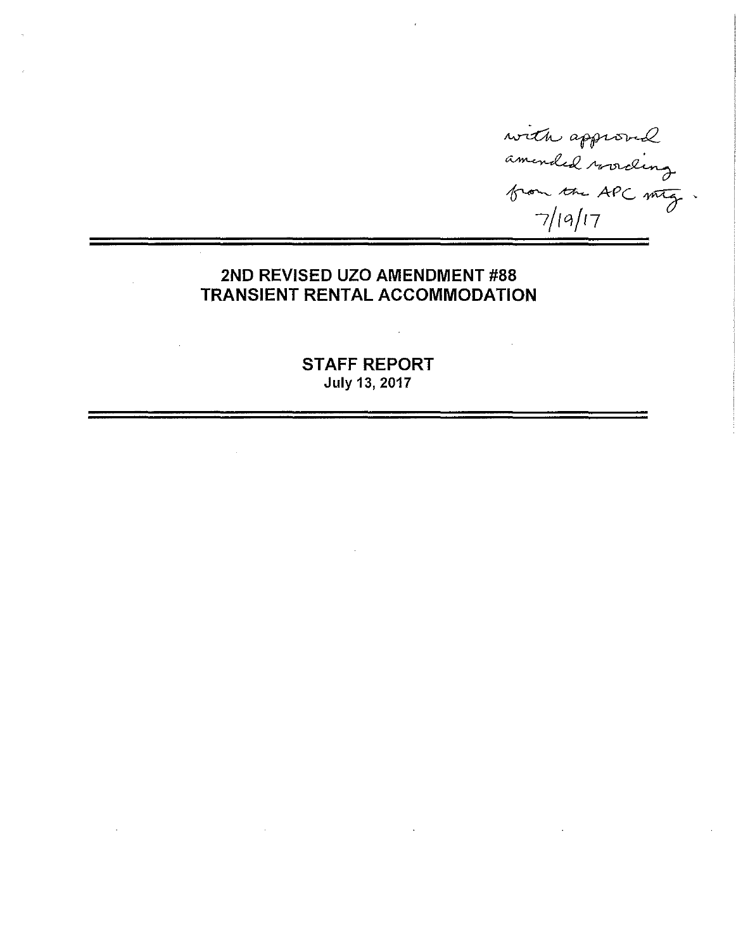with approved<br>amended socialing

# 2ND REVISED UZO AMENDMENT #88 TRANSIENT RENTAL ACCOMMODATION

STAFF REPORT July 13, 2017

 $\sim$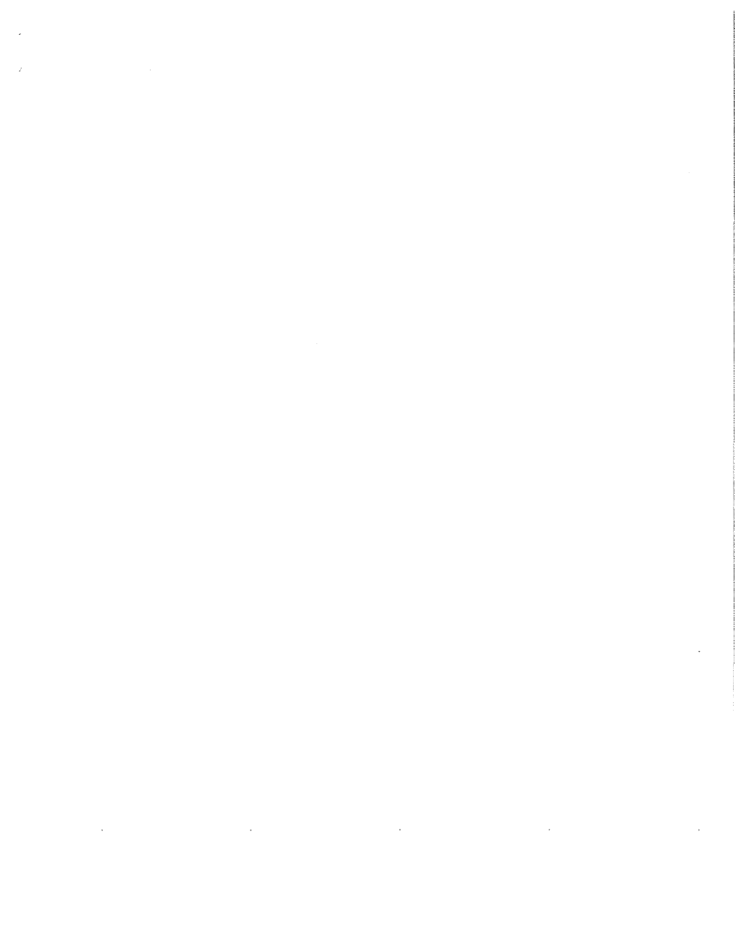$\label{eq:2.1} \frac{1}{\sqrt{2}}\int_{\mathbb{R}^3}\frac{1}{\sqrt{2}}\left(\frac{1}{\sqrt{2}}\right)^2\frac{1}{\sqrt{2}}\left(\frac{1}{\sqrt{2}}\right)^2\frac{1}{\sqrt{2}}\left(\frac{1}{\sqrt{2}}\right)^2\frac{1}{\sqrt{2}}\left(\frac{1}{\sqrt{2}}\right)^2.$ 

 $\mathcal{L}_{\mathcal{A}}$  and  $\mathcal{L}_{\mathcal{A}}$  are the set of  $\mathcal{L}_{\mathcal{A}}$  . The set of  $\mathcal{L}_{\mathcal{A}}$  are the set of  $\mathcal{L}_{\mathcal{A}}$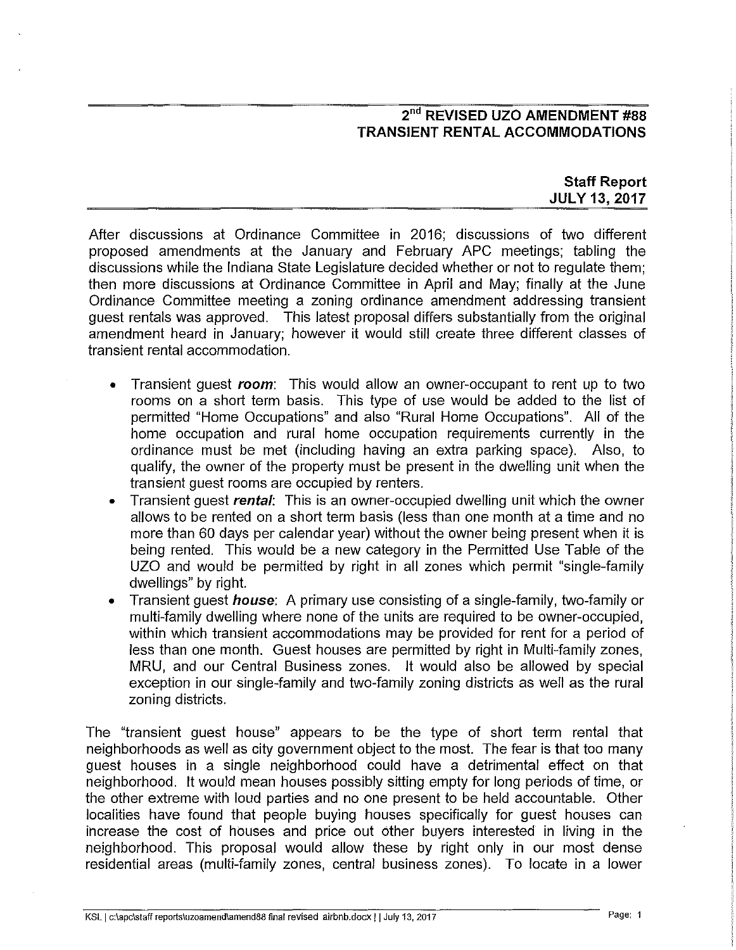## 2nd **REVISED UZO AMENDMENT** #88 **TRANSIENT RENTAL ACCOMMODATIONS**

#### **Staff Report JULY 13, 2017**

After discussions at Ordinance Committee in 2016; discussions of two different proposed amendments at the January and February APC meetings; tabling the discussions while the Indiana State Legislature decided whether or not to regulate them; then more discussions at Ordinance Committee in April and May; finally at the June Ordinance Committee meeting a zoning ordinance amendment addressing transient guest rentals was approved. This latest proposal differs substantially from the original amendment heard in January; however it would still create three different classes of transient rental accommodation.

- Transient guest **room:** This would allow an owner-occupant to rent up to two rooms on a short term basis. This type of use would be added to the list of permitted "Home Occupations" and also "Rural Home Occupations". All of the home occupation and rural home occupation requirements currently in the ordinance must be met (including having an extra parking space). Also, to qualify, the owner of the property must be present in the dwelling unit when the transient guest rooms are occupied by renters.
- Transient guest **rental:** This is an owner-occupied dwelling unit which the owner allows to be rented on a short term basis (less than one month at a time and no more than 60 days per calendar year) without the owner being present when it is being rented. This would be a new category in the Permitted Use Table of the UZO and would be permitted by right in all zones which permit "single-family dwellings" by right.
- Transient guest **house:** A primary use consisting of a single-family, two-family or multi-family dwelling where none of the units are required to be owner-occupied, within which transient accommodations may be provided for rent for a period of less than one month. Guest houses are permitted by right in Multi-family zones, MRU, and our Central Business zones. It would also be allowed by special exception in our single-family and two-family zoning districts as well as the rural zoning districts.

The "transient guest house" appears to be the type of short term rental that neighborhoods as well as city government object to the most. The fear is that too many guest houses in a single neighborhood could have a detrimental effect on that neighborhood. It would mean houses possibly sitting empty for long periods of time, or the other extreme with loud parties and no one present to be held accountable. Other localities have found that people buying houses specifically for guest houses can increase the cost of houses and price out other buyers interested in living in the neighborhood. This proposal would allow these by right only in our most dense residential areas (multi-family zones, central business zones). To locate in a lower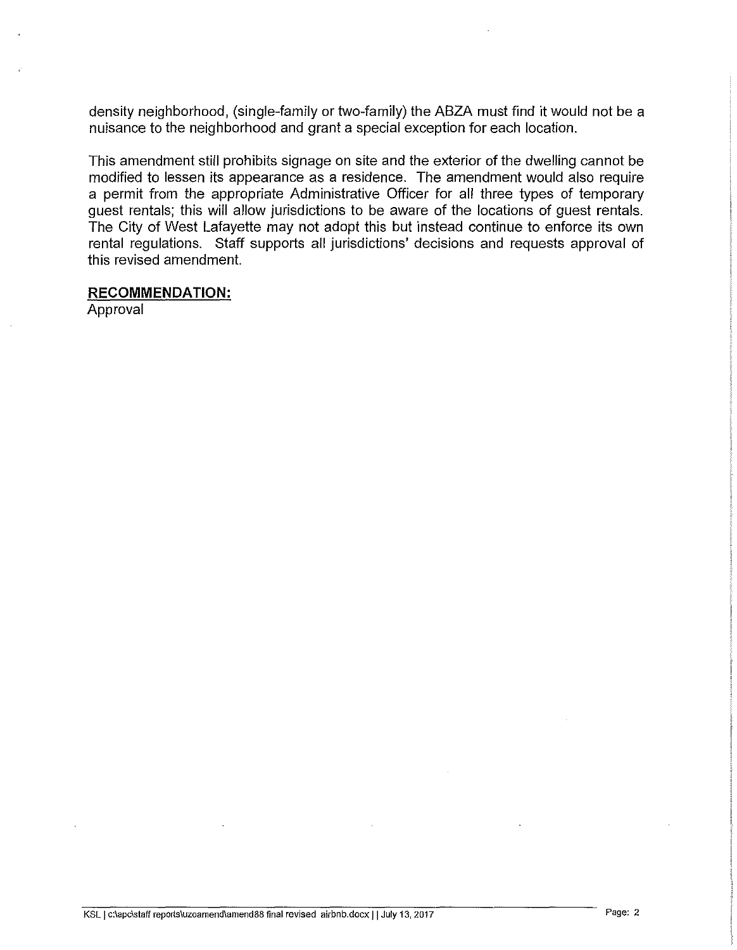density neighborhood, (single-family or two-family) the ABZA must find it would not be a nuisance to the neighborhood and grant a special exception for each location.

This amendment still prohibits signage on site and the exterior of the dwelling cannot be modified to lessen its appearance as a residence. The amendment would also require a permit from the appropriate Administrative Officer for all three types of temporary guest rentals; this will allow jurisdictions to be aware of the locations of guest rentals. The City of West Lafayette may not adopt this but instead continue to enforce its own rental regulations. Staff supports all jurisdictions' decisions and requests approval of this revised amendment.

#### **RECOMMENDATION:**

Approval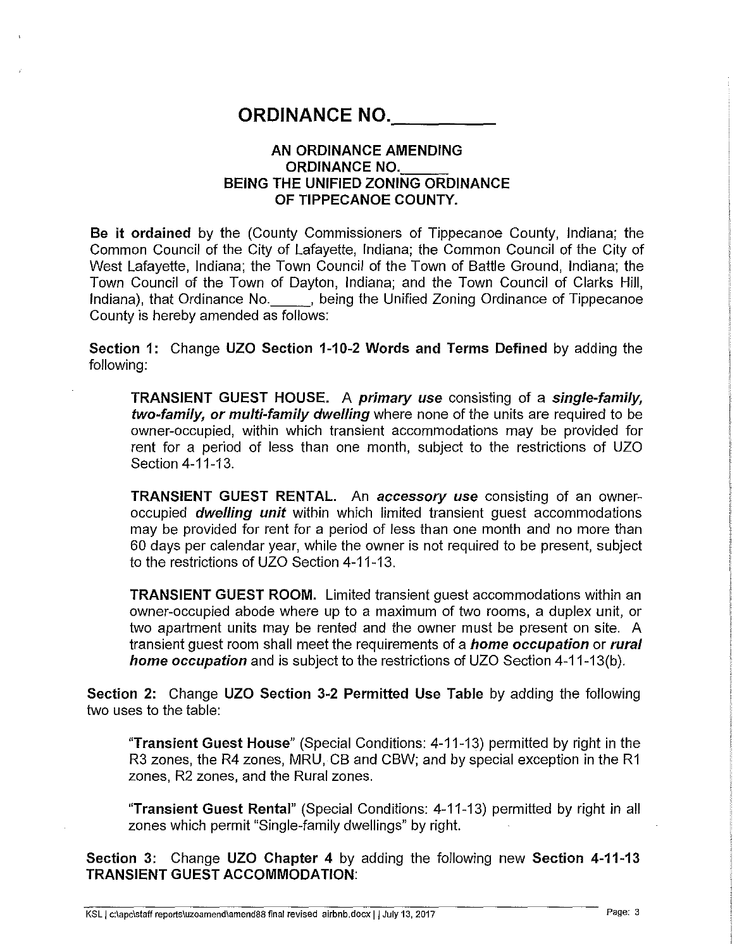# **ORDINANCE NO.**

# **AN ORDINANCE AMENDING ORDINANCE NO. \_\_ \_ BEING THE UNIFIED ZONING ORDINANCE OF TIPPECANOE COUNTY.**

**Be it ordained** by the (County Commissioners of Tippecanoe County, Indiana; the Common Council of the City of Lafayette, Indiana; the Common Council of the City of West Lafayette, Indiana; the Town Council of the Town of Battle Ground, Indiana; the Town Council of the Town of Dayton, Indiana; and the Town Council of Clarks Hill, Indiana), that Ordinance No. in the being the Unified Zoning Ordinance of Tippecanoe County is hereby amended as follows:

**Section 1:** Change **UZO Section 1-10-2 Words and Terms Defined** by adding the following:

**TRANSIENT GUEST HOUSE. A primary use** consisting of a **single-family, two-family, or multi-family dwelling** where none of the units are required to be owner-occupied, within which transient accommodations may be provided for rent for a period of less than one month, subject to the restrictions of UZO Section 4-11-13.

**TRANSIENT GUEST RENTAL. An accessory use** consisting of an owneroccupied **dwelling unit** within which limited transient guest accommodations may be provided for rent for a period of less than one month and no more than 60 days per calendar year, while the owner is not required to be present, subject to the restrictions of UZO Section 4-11-13.

**TRANSIENT GUEST ROOM.** Limited transient guest accommodations within an owner-occupied abode where up to a maximum of two rooms, a duplex unit, or two apartment units may be rented and the owner must be present on site. A transient guest room shall meet the requirements of a **home occupation or rural home occupation** and is subject to the restrictions of UZO Section 4-11-13(b).

**Section 2:** Change **UZO Section 3-2 Permitted Use Table** by adding the following two uses to the table:

**"Transient Guest House"** (Special Conditions: 4-11-13) permitted by right in the R3 zones, the R4 zones, MRU, CB and CBW; and by special exception in the R1 zones, R2 zones, and the Rural zones.

**"Transient Guest Rental"** (Special Conditions: 4-11-13) permitted by right in all zones which permit "Single-family dwellings" by right.

**Section 3:** Change **UZO Chapter 4** by adding the following new **Section 4-11-13 TRANSIENT GUEST ACCOMMODATION:**